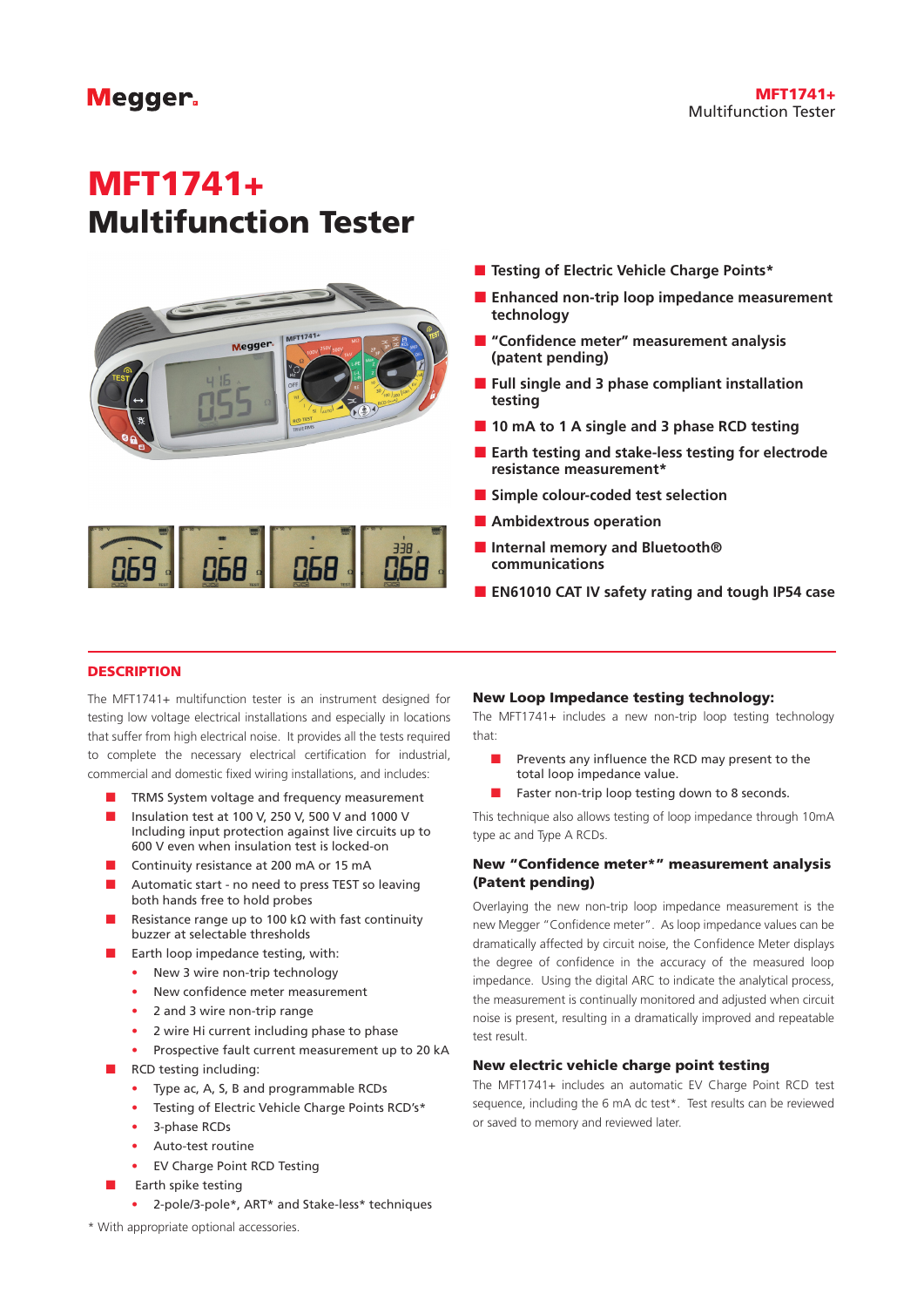# **Megger**

# MFT1741+ Multifunction Tester



- Testing of Electric Vehicle Charge Points\*
- **Enhanced non-trip loop impedance measurement technology**
- **"Confidence meter" measurement analysis (patent pending)**
- **Full single and 3 phase compliant installation testing**
- 10 mA to 1 A single and 3 phase RCD testing
- **Earth testing and stake-less testing for electrode resistance measurement\***
- **Simple colour-coded test selection**
- **Ambidextrous operation**
- **Internal memory and Bluetooth® communications**
- **EN61010 CAT IV safety rating and tough IP54 case**

# **DESCRIPTION**

The MFT1741+ multifunction tester is an instrument designed for testing low voltage electrical installations and especially in locations that suffer from high electrical noise. It provides all the tests required to complete the necessary electrical certification for industrial, commercial and domestic fixed wiring installations, and includes:

- TRMS System voltage and frequency measurement
- Insulation test at 100 V, 250 V, 500 V and 1000 V Including input protection against live circuits up to 600 V even when insulation test is locked-on
- Continuity resistance at 200 mA or 15 mA
- Automatic start no need to press TEST so leaving both hands free to hold probes
- Resistance range up to 100 kΩ with fast continuity buzzer at selectable thresholds
- Earth loop impedance testing, with:
	- New 3 wire non-trip technology
		- New confidence meter measurement
		- 2 and 3 wire non-trip range
		- 2 wire Hi current including phase to phase
		- Prospective fault current measurement up to 20 kA
- RCD testing including:
	- Type ac, A, S, B and programmable RCDs
	- Testing of Electric Vehicle Charge Points RCD's\*
	- 3-phase RCDs
	- Auto-test routine
	- **EV Charge Point RCD Testing**
	- Earth spike testing
	- 2-pole/3-pole\*, ART\* and Stake-less\* techniques

#### New Loop Impedance testing technology:

The MFT1741+ includes a new non-trip loop testing technology that:

- Prevents any influence the RCD may present to the total loop impedance value.
- **Faster non-trip loop testing down to 8 seconds.**

This technique also allows testing of loop impedance through 10mA type ac and Type A RCDs.

# New "Confidence meter\*" measurement analysis (Patent pending)

Overlaying the new non-trip loop impedance measurement is the new Megger "Confidence meter". As loop impedance values can be dramatically affected by circuit noise, the Confidence Meter displays the degree of confidence in the accuracy of the measured loop impedance. Using the digital ARC to indicate the analytical process, the measurement is continually monitored and adjusted when circuit noise is present, resulting in a dramatically improved and repeatable test result.

#### New electric vehicle charge point testing

The MFT1741+ includes an automatic EV Charge Point RCD test sequence, including the 6 mA dc test\*. Test results can be reviewed or saved to memory and reviewed later.

\* With appropriate optional accessories.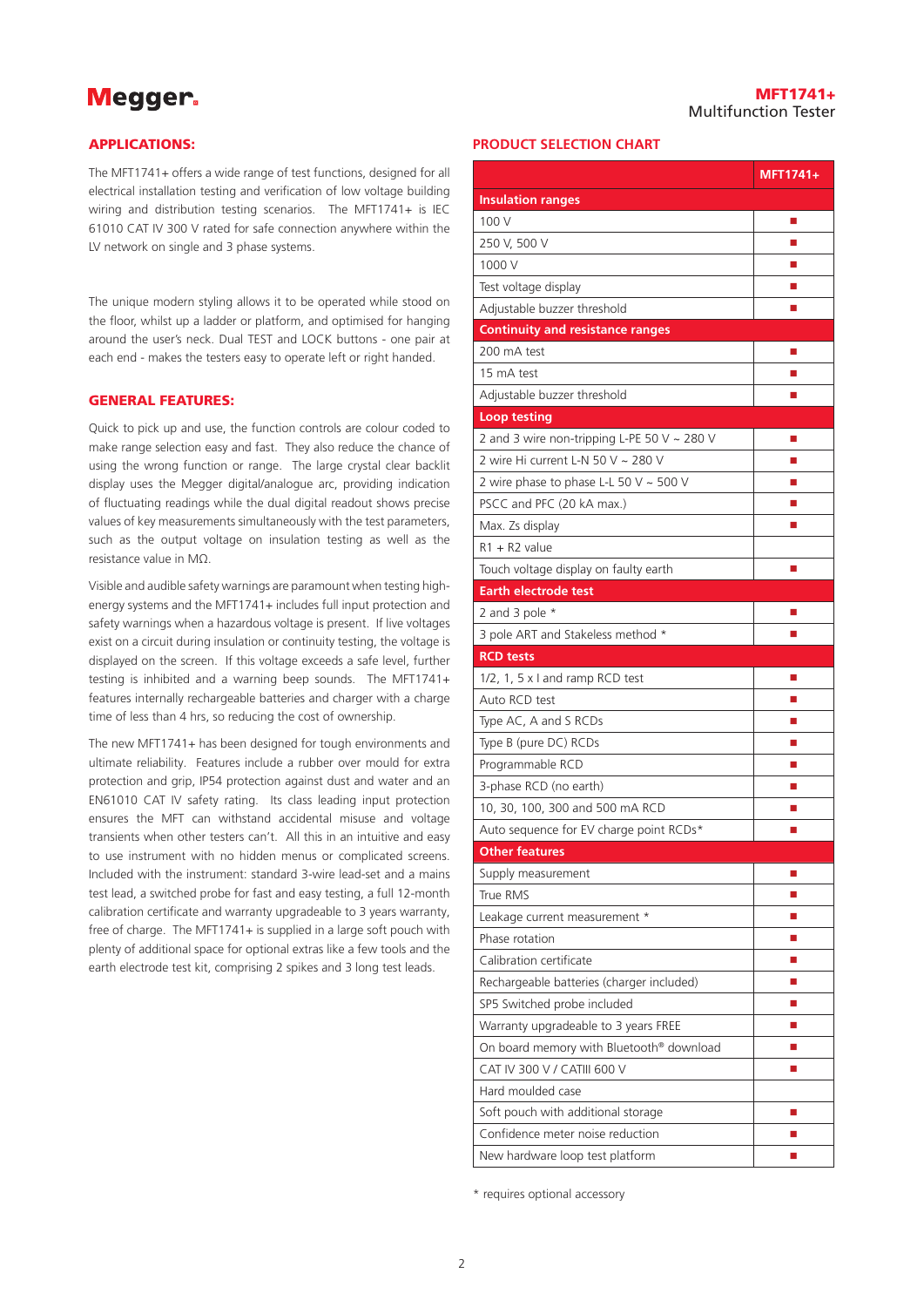# **Megger**

#### APPLICATIONS:

The MFT1741+ offers a wide range of test functions, designed for all electrical installation testing and verification of low voltage building wiring and distribution testing scenarios. The MFT1741+ is IEC 61010 CAT IV 300 V rated for safe connection anywhere within the LV network on single and 3 phase systems.

The unique modern styling allows it to be operated while stood on the floor, whilst up a ladder or platform, and optimised for hanging around the user's neck. Dual TEST and LOCK buttons - one pair at each end - makes the testers easy to operate left or right handed.

# GENERAL FEATURES:

Quick to pick up and use, the function controls are colour coded to make range selection easy and fast. They also reduce the chance of using the wrong function or range. The large crystal clear backlit display uses the Megger digital/analogue arc, providing indication of fluctuating readings while the dual digital readout shows precise values of key measurements simultaneously with the test parameters, such as the output voltage on insulation testing as well as the resistance value in MΩ.

Visible and audible safety warnings are paramount when testing highenergy systems and the MFT1741+ includes full input protection and safety warnings when a hazardous voltage is present. If live voltages exist on a circuit during insulation or continuity testing, the voltage is displayed on the screen. If this voltage exceeds a safe level, further testing is inhibited and a warning beep sounds. The MFT1741+ features internally rechargeable batteries and charger with a charge time of less than 4 hrs, so reducing the cost of ownership.

The new MFT1741+ has been designed for tough environments and ultimate reliability. Features include a rubber over mould for extra protection and grip, IP54 protection against dust and water and an EN61010 CAT IV safety rating. Its class leading input protection ensures the MFT can withstand accidental misuse and voltage transients when other testers can't. All this in an intuitive and easy to use instrument with no hidden menus or complicated screens. Included with the instrument: standard 3-wire lead-set and a mains test lead, a switched probe for fast and easy testing, a full 12-month calibration certificate and warranty upgradeable to 3 years warranty, free of charge. The MFT1741+ is supplied in a large soft pouch with plenty of additional space for optional extras like a few tools and the earth electrode test kit, comprising 2 spikes and 3 long test leads.

# **PRODUCT SELECTION CHART**

|                                                  | MFT1741+ |
|--------------------------------------------------|----------|
| <b>Insulation ranges</b>                         |          |
| 100 V                                            | ш        |
| 250 V, 500 V                                     | П        |
| 1000 V                                           | П        |
| Test voltage display                             |          |
| Adjustable buzzer threshold                      | ■        |
| <b>Continuity and resistance ranges</b>          |          |
| 200 mA test                                      | ш        |
| 15 mA test                                       | ■        |
| Adjustable buzzer threshold                      | П        |
| <b>Loop testing</b>                              |          |
| 2 and 3 wire non-tripping L-PE 50 V $\sim$ 280 V | П        |
| 2 wire Hi current L-N 50 V ~ 280 V               | ш        |
| 2 wire phase to phase L-L 50 V $\sim$ 500 V      | ■        |
| PSCC and PFC (20 kA max.)                        | ■        |
| Max. Zs display                                  | П        |
| $R1 + R2$ value                                  |          |
| Touch voltage display on faulty earth            | П        |
| <b>Earth electrode test</b>                      |          |
| 2 and 3 pole $*$                                 | ш        |
| 3 pole ART and Stakeless method *                |          |
| <b>RCD tests</b>                                 |          |
| 1/2, 1, 5 x I and ramp RCD test                  | ш        |
| Auto RCD test                                    | ■        |
| Type AC, A and S RCDs                            | П        |
| Type B (pure DC) RCDs                            | ш        |
| Programmable RCD                                 | ■        |
| 3-phase RCD (no earth)                           | П        |
| 10, 30, 100, 300 and 500 mA RCD                  |          |
| Auto sequence for EV charge point RCDs*          | ■        |
| Other features                                   |          |
| Supply measurement                               | ш        |
| True RMS                                         | ш        |
| Leakage current measurement *                    |          |
| Phase rotation                                   | ш        |
| Calibration certificate                          | ш        |
| Rechargeable batteries (charger included)        | П        |
| SP5 Switched probe included                      |          |
| Warranty upgradeable to 3 years FREE             | ■        |
| On board memory with Bluetooth® download         | п        |
| CAT IV 300 V / CATIII 600 V                      | ш        |
| Hard moulded case                                |          |
| Soft pouch with additional storage               | П        |
| Confidence meter noise reduction                 |          |
| New hardware loop test platform                  | ۰        |

\* requires optional accessory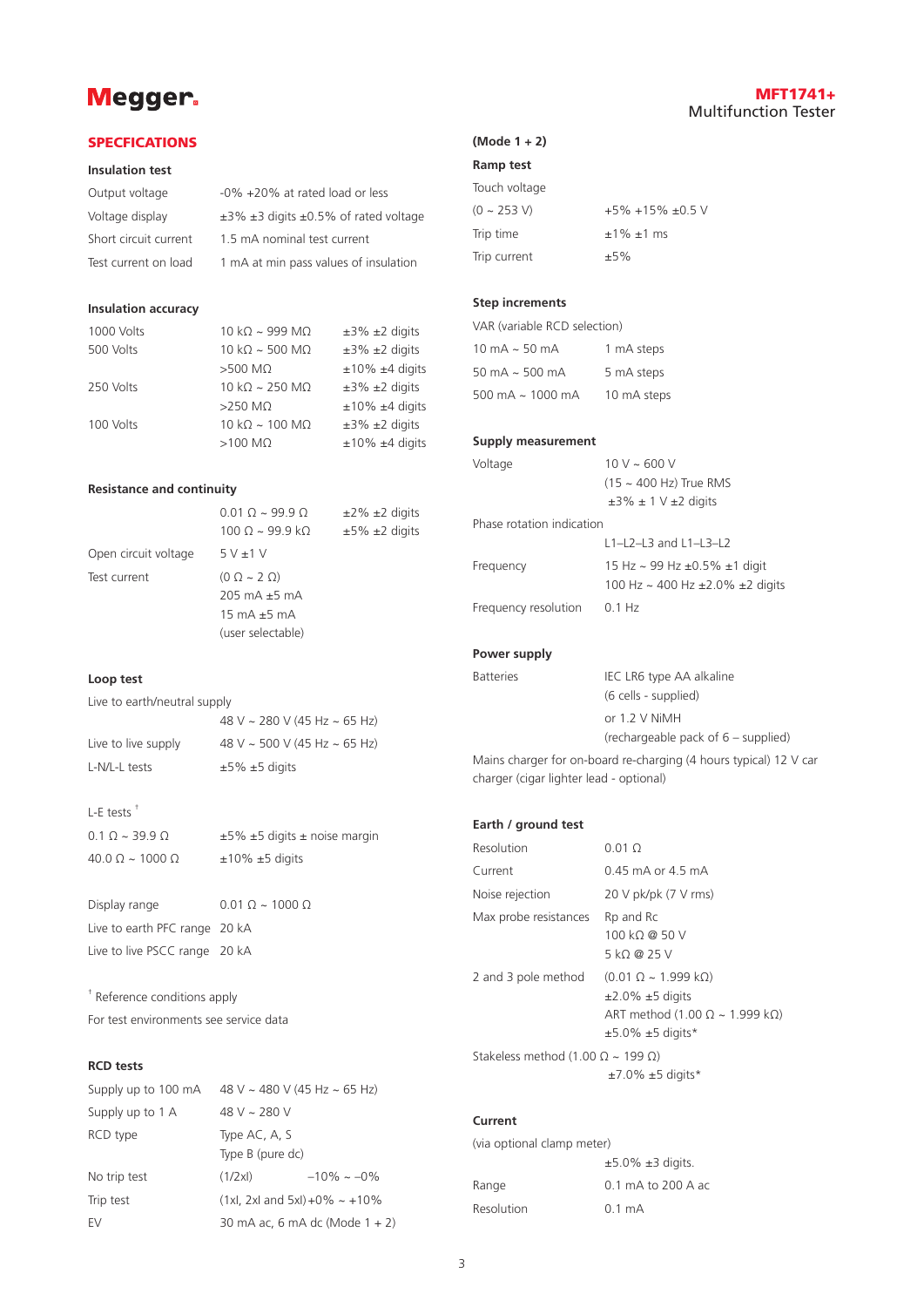# Megger.

# MFT1741+ Multifunction Tester

#### **SPECFICATIONS**

#### **Insulation test**

| Output voltage        | -0% +20% at rated load or less                      |
|-----------------------|-----------------------------------------------------|
| Voltage display       | $\pm$ 3% $\pm$ 3 digits $\pm$ 0.5% of rated voltage |
| Short circuit current | 1.5 mA nominal test current                         |
| Test current on load  | 1 mA at min pass values of insulation               |

#### **Insulation accuracy**

| 1000 Volts | 10 kΩ ~ 999 MΩ                | $±3\% ±2$ digits         |
|------------|-------------------------------|--------------------------|
| 500 Volts  | $10 kQ \sim 500 MQ$           | $±3\% ±2$ digits         |
|            | $>500$ MO                     | $±10\% ±4$ digits        |
| 250 Volts  | $10 k\Omega \sim 250 M\Omega$ | $±3\% ±2$ digits         |
|            | $>250$ M $\Omega$             | $±10\% ±4$ digits        |
| 100 Volts  | $10 k\Omega \sim 100 M\Omega$ | $\pm 3\%$ $\pm 2$ digits |
|            | $>100$ M $\Omega$             | $±10\% ±4$ digits        |
|            |                               |                          |

#### **Resistance and continuity**

|                      | $0.010 - 9990$                         | $\pm 2\%$ $\pm 2$ digits |
|----------------------|----------------------------------------|--------------------------|
|                      | $100 \Omega \sim 99.9 \text{ k}\Omega$ | $±5\% ±2$ digits         |
| Open circuit voltage | 5V±1V                                  |                          |
| Test current         | $(0 \Omega \sim 2 \Omega)$             |                          |
|                      | $205 \text{ mA} + 5 \text{ mA}$        |                          |
|                      | 15 mA $\pm$ 5 mA                       |                          |
|                      | (user selectable)                      |                          |
|                      |                                        |                          |

#### **Loop test**

Live to earth/neutral supply

|                     | 48 V ~ 280 V (45 Hz ~ 65 Hz) |
|---------------------|------------------------------|
| Live to live supply | 48 V ~ 500 V (45 Hz ~ 65 Hz) |
| L-N/L-L tests       | $\pm 5\% \pm 5$ digits       |

### L-E tests †

| $0.1 \Omega \sim 39.9 \Omega$      | $\pm 5\%$ $\pm 5$ digits $\pm$ noise margin |
|------------------------------------|---------------------------------------------|
| $40.0$ $\Omega \sim 1000$ $\Omega$ | $±10\% ±5$ digits                           |

Display range 0.01  $\Omega \sim 1000 \Omega$ Live to earth PFC range 20 kA Live to live PSCC range 20 kA

† Reference conditions apply For test environments see service data

## **RCD tests**

| Supply up to 100 mA $48$ V ~ 480 V (45 Hz ~ 65 Hz) |                                         |                                |
|----------------------------------------------------|-----------------------------------------|--------------------------------|
| Supply up to 1 A                                   | 48 V ~ 280 V                            |                                |
| RCD type                                           | Type AC, A, S<br>Type B (pure dc)       |                                |
| No trip test                                       | (1/2x)                                  | $-10\% - 0\%$                  |
| Trip test                                          | $(1xl, 2xl$ and $5xl) + 0\% \sim +10\%$ |                                |
| EV                                                 |                                         | 30 mA ac, 6 mA dc (Mode 1 + 2) |

# **(Mode 1 + 2)**

# **Ramp test**

| Touch voltage |                     |
|---------------|---------------------|
| $(0 - 253 V)$ | $+5\% +15\% +0.5$ V |
| Trip time     | $±1\%±1$ ms         |
| Trip current  | $±5\%$              |

### **Step increments**

| VAR (variable RCD selection)          |             |
|---------------------------------------|-------------|
| $10 \text{ mA} \approx 50 \text{ mA}$ | 1 mA steps  |
| 50 mA $\sim$ 500 mA                   | 5 mA steps  |
| 500 mA $\sim$ 1000 mA                 | 10 mA steps |

# **Supply measurement**

| Voltage                   | $10 V \sim 600 V$                                                                        |
|---------------------------|------------------------------------------------------------------------------------------|
|                           | $(15 \sim 400$ Hz) True RMS                                                              |
|                           | $\pm 3\% \pm 1$ V $\pm 2$ digits                                                         |
| Phase rotation indication |                                                                                          |
|                           | $L1 - L2 - L3$ and $L1 - L3 - L2$                                                        |
| Frequency                 | 15 Hz $\sim$ 99 Hz $\pm$ 0.5% $\pm$ 1 digit<br>100 Hz ~ 400 Hz $\pm$ 2.0% $\pm$ 2 digits |
|                           |                                                                                          |
| Frequency resolution      | $0.1$ Hz                                                                                 |

### **Power supply**

| <b>Batteries</b> | IEC LR6 type AA alkaline              |
|------------------|---------------------------------------|
|                  | (6 cells - supplied)                  |
|                  | or $1.2$ V NiMH                       |
|                  | (rechargeable pack of $6$ – supplied) |

Mains charger for on-board re-charging (4 hours typical) 12 V car charger (cigar lighter lead - optional)

# **Earth / ground test**

| Resolution                                        | $0.01\ \Omega$                                                                                                                                             |
|---------------------------------------------------|------------------------------------------------------------------------------------------------------------------------------------------------------------|
| Current                                           | $0.45$ mA or $4.5$ mA                                                                                                                                      |
| Noise rejection                                   | $20 V$ pk/pk $(7 V$ rms)                                                                                                                                   |
| Max probe resistances                             | Rp and Rc<br>100 kQ @ 50 V<br>5 kQ @ 25 V                                                                                                                  |
| 2 and 3 pole method                               | $(0.01 \Omega \sim 1.999 \text{ k}\Omega)$<br>$\pm$ 2.0% $\pm$ 5 digits<br>ART method (1.00 $\Omega \sim 1.999$ k $\Omega$ )<br>$\pm$ 5.0% $\pm$ 5 digits* |
| Stakeless method (1.00 $\Omega \sim 199 \Omega$ ) | $\pm$ 7.0% $\pm$ 5 digits*                                                                                                                                 |

# **Current**

| (via optional clamp meter) |                            |
|----------------------------|----------------------------|
|                            | $\pm$ 5.0% $\pm$ 3 digits. |
| Range                      | 0.1 mA to 200 A ac         |
| Resolution                 | $0.1 \text{ mA}$           |